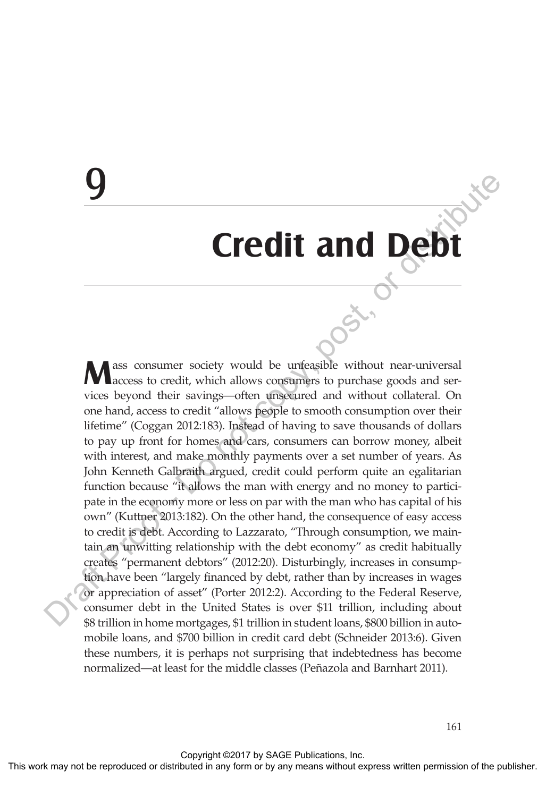9

# **Credit and Deb**

ass consumer society would be unfeasible without near-universal access to credit, which allows consumers to purchase goods and services beyond their savings—often unsecured and without collateral. On one hand, access to credit "allows people to smooth consumption over their lifetime" (Coggan 2012:183). Instead of having to save thousands of dollars to pay up front for homes and cars, consumers can borrow money, albeit with interest, and make monthly payments over a set number of years. As John Kenneth Galbraith argued, credit could perform quite an egalitarian function because "it allows the man with energy and no money to participate in the economy more or less on par with the man who has capital of his own" (Kuttner 2013:182). On the other hand, the consequence of easy access to credit is debt. According to Lazzarato, "Through consumption, we maintain an unwitting relationship with the debt economy" as credit habitually creates "permanent debtors" (2012:20). Disturbingly, increases in consumption have been "largely financed by debt, rather than by increases in wages or appreciation of asset" (Porter 2012:2). According to the Federal Reserve, consumer debt in the United States is over \$11 trillion, including about \$8 trillion in home mortgages, \$1 trillion in student loans, \$800 billion in automobile loans, and \$700 billion in credit card debt (Schneider 2013:6). Given these numbers, it is perhaps not surprising that indebtedness has become normalized—at least for the middle classes (Peñazola and Barnhart 2011). **Credit and Debt**<br>
Mass consumer society would be unterasted without non-runiversal<br>
visual consists with an any form or by any means without collection of the<br>
visual constrained in any form of the publisher of the publi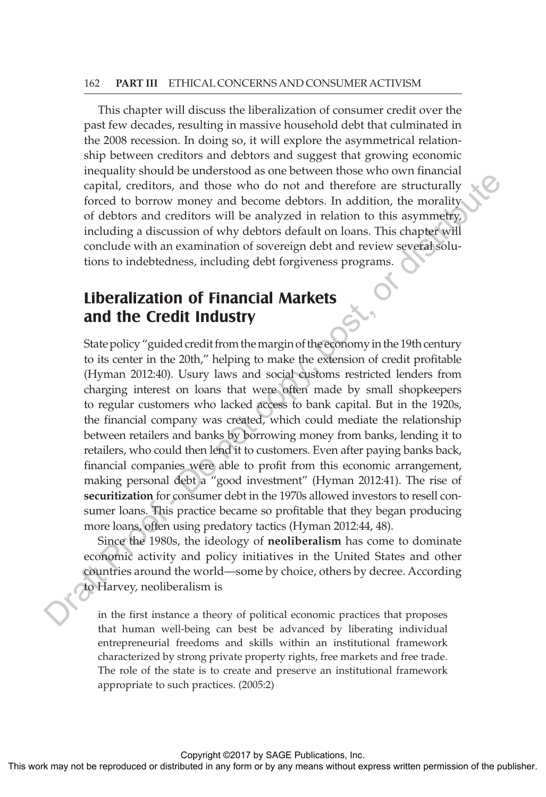#### 162 **PART III** ETHICAL CONCERNS AND CONSUMER ACTIVISM

This chapter will discuss the liberalization of consumer credit over the past few decades, resulting in massive household debt that culminated in the 2008 recession. In doing so, it will explore the asymmetrical relationship between creditors and debtors and suggest that growing economic inequality should be understood as one between those who own financial capital, creditors, and those who do not and therefore are structurally forced to borrow money and become debtors. In addition, the morality of debtors and creditors will be analyzed in relation to this asymmetry, including a discussion of why debtors default on loans. This chapter will conclude with an examination of sovereign debt and review several solutions to indebtedness, including debt forgiveness programs.

# **Liberalization of Financial Markets and the Credit Industry**

State policy "guided credit from the margin of the economy in the 19th century to its center in the 20th," helping to make the extension of credit profitable (Hyman 2012:40). Usury laws and social customs restricted lenders from charging interest on loans that were often made by small shopkeepers to regular customers who lacked access to bank capital. But in the 1920s, the financial company was created, which could mediate the relationship between retailers and banks by borrowing money from banks, lending it to retailers, who could then lend it to customers. Even after paying banks back, financial companies were able to profit from this economic arrangement, making personal debt a "good investment" (Hyman 2012:41). The rise of **securitization** for consumer debt in the 1970s allowed investors to resell consumer loans. This practice became so profitable that they began producing more loans, often using predatory tactics (Hyman 2012:44, 48). Expediant continuos, and those who do not and therefore are structurally foreded to betresse may not be continued in alternation the most<br>abilitative for deductions of the most fits distributed in any fits distributed in

Since the 1980s, the ideology of **neoliberalism** has come to dominate economic activity and policy initiatives in the United States and other countries around the world—some by choice, others by decree. According to Harvey, neoliberalism is

in the first instance a theory of political economic practices that proposes that human well-being can best be advanced by liberating individual entrepreneurial freedoms and skills within an institutional framework characterized by strong private property rights, free markets and free trade. The role of the state is to create and preserve an institutional framework appropriate to such practices. (2005:2)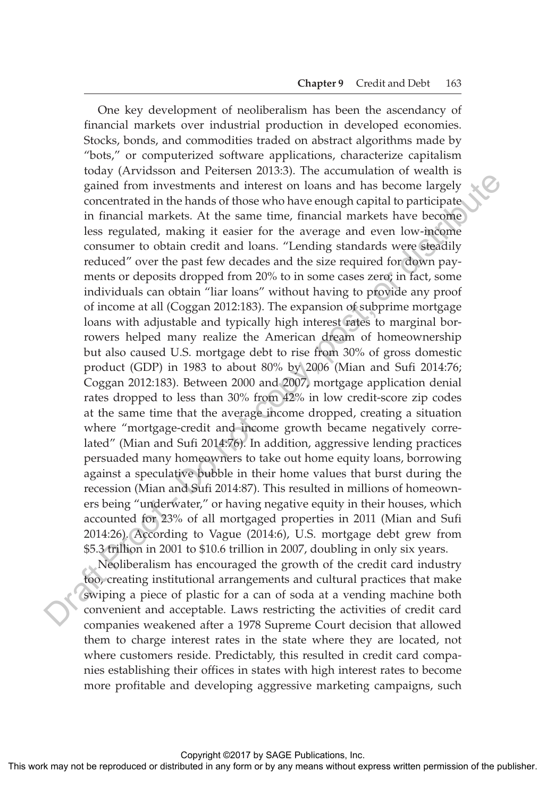One key development of neoliberalism has been the ascendancy of financial markets over industrial production in developed economies. Stocks, bonds, and commodities traded on abstract algorithms made by "bots," or computerized software applications, characterize capitalism today (Arvidsson and Peitersen 2013:3). The accumulation of wealth is gained from investments and interest on loans and has become largely concentrated in the hands of those who have enough capital to participate in financial markets. At the same time, financial markets have become less regulated, making it easier for the average and even low-income consumer to obtain credit and loans. "Lending standards were steadily reduced" over the past few decades and the size required for down payments or deposits dropped from 20% to in some cases zero; in fact, some individuals can obtain "liar loans" without having to provide any proof of income at all (Coggan 2012:183). The expansion of subprime mortgage loans with adjustable and typically high interest rates to marginal borrowers helped many realize the American dream of homeownership but also caused U.S. mortgage debt to rise from 30% of gross domestic product (GDP) in 1983 to about 80% by 2006 (Mian and Sufi 2014:76; Coggan 2012:183). Between 2000 and 2007, mortgage application denial rates dropped to less than 30% from 42% in low credit-score zip codes at the same time that the average income dropped, creating a situation where "mortgage-credit and income growth became negatively correlated" (Mian and Sufi 2014:76). In addition, aggressive lending practices persuaded many homeowners to take out home equity loans, borrowing against a speculative bubble in their home values that burst during the recession (Mian and Sufi 2014:87). This resulted in millions of homeowners being "underwater," or having negative equity in their houses, which accounted for 23% of all mortgaged properties in 2011 (Mian and Sufi 2014:26). According to Vague (2014:6), U.S. mortgage debt grew from \$5.3 trillion in 2001 to \$10.6 trillion in 2007, doubling in only six years. togive from investments and interest on loans and has become largely<br>constrained in the handed or downer who hove enough capital to participate.<br>In financial markets, At the same time, financial markets have been<br>place to

Neoliberalism has encouraged the growth of the credit card industry too, creating institutional arrangements and cultural practices that make swiping a piece of plastic for a can of soda at a vending machine both convenient and acceptable. Laws restricting the activities of credit card companies weakened after a 1978 Supreme Court decision that allowed them to charge interest rates in the state where they are located, not where customers reside. Predictably, this resulted in credit card companies establishing their offices in states with high interest rates to become more profitable and developing aggressive marketing campaigns, such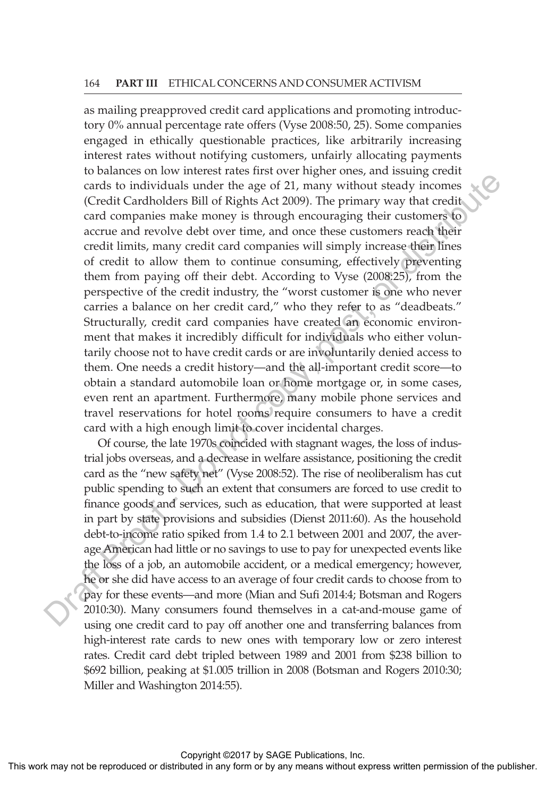as mailing preapproved credit card applications and promoting introductory 0% annual percentage rate offers (Vyse 2008:50, 25). Some companies engaged in ethically questionable practices, like arbitrarily increasing interest rates without notifying customers, unfairly allocating payments to balances on low interest rates first over higher ones, and issuing credit cards to individuals under the age of 21, many without steady incomes (Credit Cardholders Bill of Rights Act 2009). The primary way that credit card companies make money is through encouraging their customers to accrue and revolve debt over time, and once these customers reach their credit limits, many credit card companies will simply increase their lines of credit to allow them to continue consuming, effectively preventing them from paying off their debt. According to Vyse (2008:25), from the perspective of the credit industry, the "worst customer is one who never carries a balance on her credit card," who they refer to as "deadbeats." Structurally, credit card companies have created an economic environment that makes it incredibly difficult for individuals who either voluntarily choose not to have credit cards or are involuntarily denied access to them. One needs a credit history—and the all-important credit score—to obtain a standard automobile loan or home mortgage or, in some cases, even rent an apartment. Furthermore, many mobile phone services and travel reservations for hotel rooms require consumers to have a credit card with a high enough limit to cover incidental charges. cords to individuals under the age of 21, many without stocky incomes (Credit Carditalodelar Bill of Rights Ar 2009). The primary way that express were constructed to the origin any measure constructed in a stributed in a

Of course, the late 1970s coincided with stagnant wages, the loss of industrial jobs overseas, and a decrease in welfare assistance, positioning the credit card as the "new safety net" (Vyse 2008:52). The rise of neoliberalism has cut public spending to such an extent that consumers are forced to use credit to finance goods and services, such as education, that were supported at least in part by state provisions and subsidies (Dienst 2011:60). As the household debt-to-income ratio spiked from 1.4 to 2.1 between 2001 and 2007, the average American had little or no savings to use to pay for unexpected events like the loss of a job, an automobile accident, or a medical emergency; however, he or she did have access to an average of four credit cards to choose from to pay for these events—and more (Mian and Sufi 2014:4; Botsman and Rogers 2010:30). Many consumers found themselves in a cat-and-mouse game of using one credit card to pay off another one and transferring balances from high-interest rate cards to new ones with temporary low or zero interest rates. Credit card debt tripled between 1989 and 2001 from \$238 billion to \$692 billion, peaking at \$1.005 trillion in 2008 (Botsman and Rogers 2010:30; Miller and Washington 2014:55).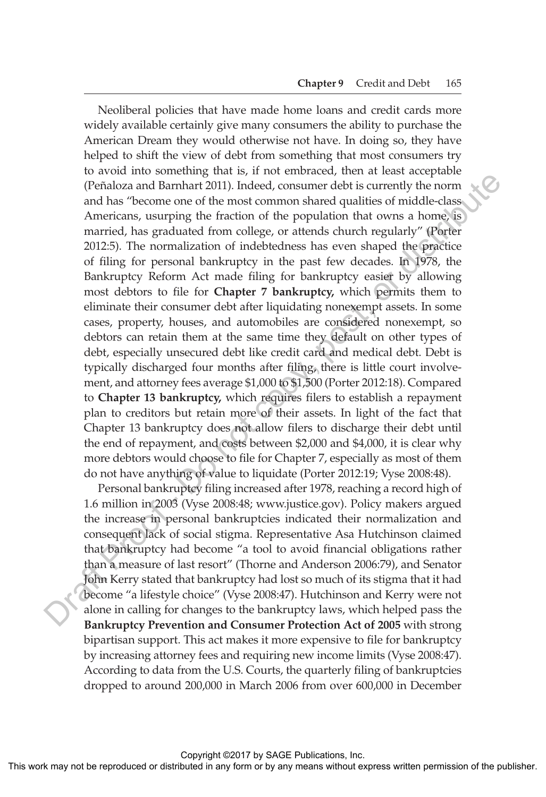Neoliberal policies that have made home loans and credit cards more widely available certainly give many consumers the ability to purchase the American Dream they would otherwise not have. In doing so, they have helped to shift the view of debt from something that most consumers try to avoid into something that is, if not embraced, then at least acceptable (Peñaloza and Barnhart 2011). Indeed, consumer debt is currently the norm and has "become one of the most common shared qualities of middle-class Americans, usurping the fraction of the population that owns a home, is married, has graduated from college, or attends church regularly" (Porter 2012:5). The normalization of indebtedness has even shaped the practice of filing for personal bankruptcy in the past few decades. In 1978, the Bankruptcy Reform Act made filing for bankruptcy easier by allowing most debtors to file for **Chapter 7 bankruptcy,** which permits them to eliminate their consumer debt after liquidating nonexempt assets. In some cases, property, houses, and automobiles are considered nonexempt, so debtors can retain them at the same time they default on other types of debt, especially unsecured debt like credit card and medical debt. Debt is typically discharged four months after filing, there is little court involvement, and attorney fees average \$1,000 to \$1,500 (Porter 2012:18). Compared to **Chapter 13 bankruptcy,** which requires filers to establish a repayment plan to creditors but retain more of their assets. In light of the fact that Chapter 13 bankruptcy does not allow filers to discharge their debt until the end of repayment, and costs between \$2,000 and \$4,000, it is clear why more debtors would choose to file for Chapter 7, especially as most of them do not have anything of value to liquidate (Porter 2012:19; Vyse 2008:48). (Perhaloza and Barabara 2011). Indeed. consumer debt is currently throusom and has "become ener of the more instant of malitation or independent in a simple Americans. Nameply, the more instant the more debt also with a s

Personal bankruptcy filing increased after 1978, reaching a record high of 1.6 million in 2003 (Vyse 2008:48; www.justice.gov). Policy makers argued the increase in personal bankruptcies indicated their normalization and consequent lack of social stigma. Representative Asa Hutchinson claimed that bankruptcy had become "a tool to avoid financial obligations rather than a measure of last resort" (Thorne and Anderson 2006:79), and Senator John Kerry stated that bankruptcy had lost so much of its stigma that it had become "a lifestyle choice" (Vyse 2008:47). Hutchinson and Kerry were not alone in calling for changes to the bankruptcy laws, which helped pass the **Bankruptcy Prevention and Consumer Protection Act of 2005** with strong bipartisan support. This act makes it more expensive to file for bankruptcy by increasing attorney fees and requiring new income limits (Vyse 2008:47). According to data from the U.S. Courts, the quarterly filing of bankruptcies dropped to around 200,000 in March 2006 from over 600,000 in December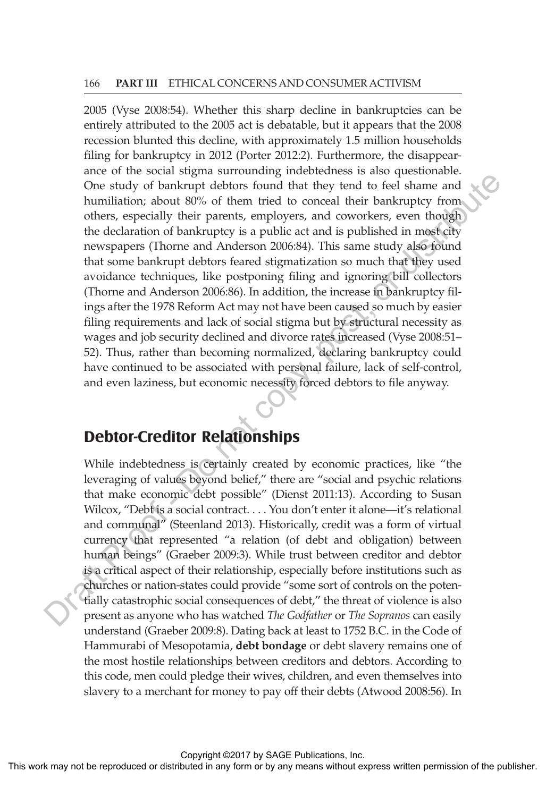2005 (Vyse 2008:54). Whether this sharp decline in bankruptcies can be entirely attributed to the 2005 act is debatable, but it appears that the 2008 recession blunted this decline, with approximately 1.5 million households filing for bankruptcy in 2012 (Porter 2012:2). Furthermore, the disappearance of the social stigma surrounding indebtedness is also questionable. One study of bankrupt debtors found that they tend to feel shame and humiliation; about 80% of them tried to conceal their bankruptcy from others, especially their parents, employers, and coworkers, even though the declaration of bankruptcy is a public act and is published in most city newspapers (Thorne and Anderson 2006:84). This same study also found that some bankrupt debtors feared stigmatization so much that they used avoidance techniques, like postponing filing and ignoring bill collectors (Thorne and Anderson 2006:86). In addition, the increase in bankruptcy filings after the 1978 Reform Act may not have been caused so much by easier filing requirements and lack of social stigma but by structural necessity as wages and job security declined and divorce rates increased (Vyse 2008:51– 52). Thus, rather than becoming normalized, declaring bankruptcy could have continued to be associated with personal failure, lack of self-control, and even laziness, but economic necessity forced debtors to file anyway.

# **Debtor-Creditor Relationships**

While indebtedness is certainly created by economic practices, like "the leveraging of values beyond belief," there are "social and psychic relations that make economic debt possible" (Dienst 2011:13). According to Susan Wilcox, "Debt is a social contract. . . . You don't enter it alone—it's relational and communal" (Steenland 2013). Historically, credit was a form of virtual currency that represented "a relation (of debt and obligation) between human beings" (Graeber 2009:3). While trust between creditor and debtor is a critical aspect of their relationship, especially before institutions such as churches or nation-states could provide "some sort of controls on the potentially catastrophic social consequences of debt," the threat of violence is also present as anyone who has watched *The Godfather* or *The Sopranos* can easily understand (Graeber 2009:8). Dating back at least to 1752 B.C. in the Code of Hammurabi of Mesopotamia, **debt bondage** or debt slavery remains one of the most hostile relationships between creditors and debtors. According to this code, men could pledge their wives, children, and even themselves into slavery to a merchant for money to pay off their debts (Atwood 2008:56). In One study or bandwooptive found that they tend to keel shame and<br>humilintation, about 19% of them reds to coveral their handrensy from<br>the candidator and the same study of the publisher in any form of the<br>direction of the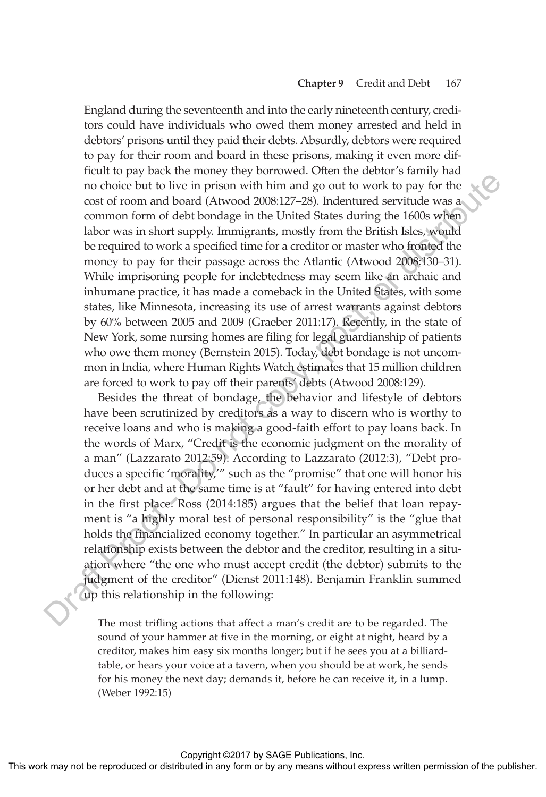England during the seventeenth and into the early nineteenth century, creditors could have individuals who owed them money arrested and held in debtors' prisons until they paid their debts. Absurdly, debtors were required to pay for their room and board in these prisons, making it even more difficult to pay back the money they borrowed. Often the debtor's family had no choice but to live in prison with him and go out to work to pay for the cost of room and board (Atwood 2008:127–28). Indentured servitude was a common form of debt bondage in the United States during the 1600s when labor was in short supply. Immigrants, mostly from the British Isles, would be required to work a specified time for a creditor or master who fronted the money to pay for their passage across the Atlantic (Atwood 2008:130–31). While imprisoning people for indebtedness may seem like an archaic and inhumane practice, it has made a comeback in the United States, with some states, like Minnesota, increasing its use of arrest warrants against debtors by 60% between 2005 and 2009 (Graeber 2011:17). Recently, in the state of New York, some nursing homes are filing for legal guardianship of patients who owe them money (Bernstein 2015). Today, debt bondage is not uncommon in India, where Human Rights Watch estimates that 15 million children are forced to work to pay off their parents' debts (Atwood 2008:129). not chick may not be reproduced or distributed or distributed in any form or by any means without to publisher content or by any means without express content or the publisher permission of the publisher any form or by any

Besides the threat of bondage, the behavior and lifestyle of debtors have been scrutinized by creditors as a way to discern who is worthy to receive loans and who is making a good-faith effort to pay loans back. In the words of Marx, "Credit is the economic judgment on the morality of a man" (Lazzarato 2012:59). According to Lazzarato (2012:3), "Debt produces a specific 'morality,'" such as the "promise" that one will honor his or her debt and at the same time is at "fault" for having entered into debt in the first place. Ross (2014:185) argues that the belief that loan repayment is "a highly moral test of personal responsibility" is the "glue that holds the financialized economy together." In particular an asymmetrical relationship exists between the debtor and the creditor, resulting in a situation where "the one who must accept credit (the debtor) submits to the judgment of the creditor" (Dienst 2011:148). Benjamin Franklin summed up this relationship in the following:

The most trifling actions that affect a man's credit are to be regarded. The sound of your hammer at five in the morning, or eight at night, heard by a creditor, makes him easy six months longer; but if he sees you at a billiardtable, or hears your voice at a tavern, when you should be at work, he sends for his money the next day; demands it, before he can receive it, in a lump. (Weber 1992:15)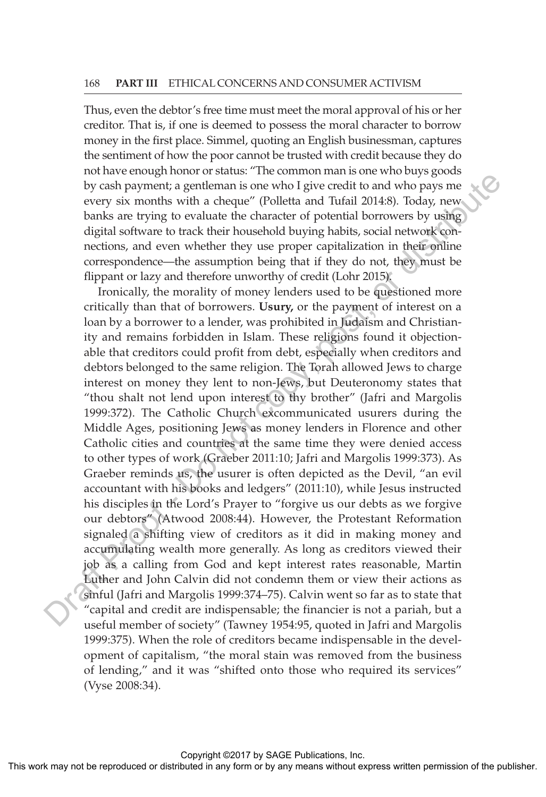Thus, even the debtor's free time must meet the moral approval of his or her creditor. That is, if one is deemed to possess the moral character to borrow money in the first place. Simmel, quoting an English businessman, captures the sentiment of how the poor cannot be trusted with credit because they do not have enough honor or status: "The common man is one who buys goods by cash payment; a gentleman is one who I give credit to and who pays me every six months with a cheque" (Polletta and Tufail 2014:8). Today, new banks are trying to evaluate the character of potential borrowers by using digital software to track their household buying habits, social network connections, and even whether they use proper capitalization in their online correspondence—the assumption being that if they do not, they must be flippant or lazy and therefore unworthy of credit (Lohr 2015).

Ironically, the morality of money lenders used to be questioned more critically than that of borrowers. **Usury,** or the payment of interest on a loan by a borrower to a lender, was prohibited in Judaism and Christianity and remains forbidden in Islam. These religions found it objectionable that creditors could profit from debt, especially when creditors and debtors belonged to the same religion. The Torah allowed Jews to charge interest on money they lent to non-Jews, but Deuteronomy states that "thou shalt not lend upon interest to thy brother" (Jafri and Margolis 1999:372). The Catholic Church excommunicated usurers during the Middle Ages, positioning Jews as money lenders in Florence and other Catholic cities and countries at the same time they were denied access to other types of work (Graeber 2011:10; Jafri and Margolis 1999:373). As Graeber reminds us, the usurer is often depicted as the Devil, "an evil accountant with his books and ledgers" (2011:10), while Jesus instructed his disciples in the Lord's Prayer to "forgive us our debts as we forgive our debtors" (Atwood 2008:44). However, the Protestant Reformation signaled a shifting view of creditors as it did in making money and accumulating wealth more generally. As long as creditors viewed their job as a calling from God and kept interest rates reasonable, Martin Luther and John Calvin did not condemn them or view their actions as sinful (Jafri and Margolis 1999:374–75). Calvin went so far as to state that "capital and credit are indispensable; the financier is not a pariah, but a useful member of society" (Tawney 1954:95, quoted in Jafri and Margolis 1999:375). When the role of creditors became indispensable in the development of capitalism, "the moral stain was removed from the business of lending," and it was "shifted onto those who required its services" (Vyse 2008:34). In yookh payments a gentleman is one who if given conclust to such a secure than more than the sheet of the state of the state of the state or the bused of the state of the publisher. The syres with the state of the publi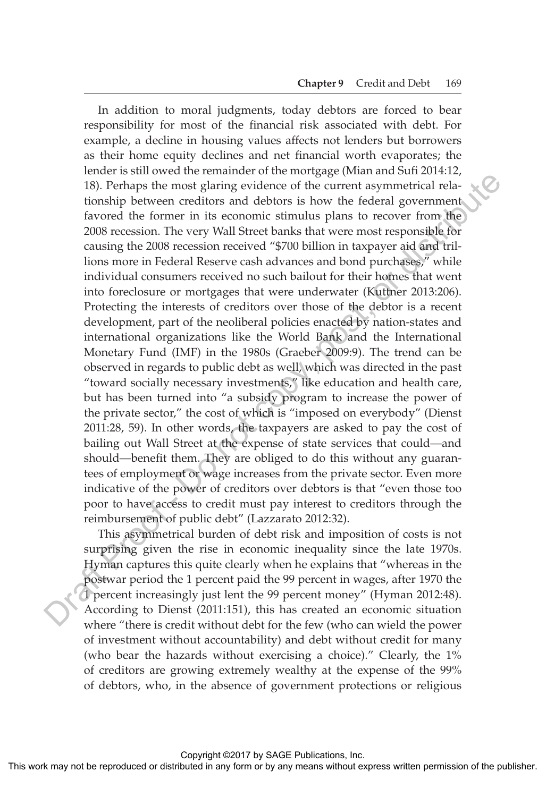In addition to moral judgments, today debtors are forced to bear responsibility for most of the financial risk associated with debt. For example, a decline in housing values affects not lenders but borrowers as their home equity declines and net financial worth evaporates; the lender is still owed the remainder of the mortgage (Mian and Sufi 2014:12, 18). Perhaps the most glaring evidence of the current asymmetrical relationship between creditors and debtors is how the federal government favored the former in its economic stimulus plans to recover from the 2008 recession. The very Wall Street banks that were most responsible for causing the 2008 recession received "\$700 billion in taxpayer aid and trillions more in Federal Reserve cash advances and bond purchases," while individual consumers received no such bailout for their homes that went into foreclosure or mortgages that were underwater (Kuttner 2013:206). Protecting the interests of creditors over those of the debtor is a recent development, part of the neoliberal policies enacted by nation-states and international organizations like the World Bank and the International Monetary Fund (IMF) in the 1980s (Graeber 2009:9). The trend can be observed in regards to public debt as well, which was directed in the past "toward socially necessary investments," like education and health care, but has been turned into "a subsidy program to increase the power of the private sector," the cost of which is "imposed on everybody" (Dienst 2011:28, 59). In other words, the taxpayers are asked to pay the cost of bailing out Wall Street at the expense of state services that could—and should—benefit them. They are obliged to do this without any guarantees of employment or wage increases from the private sector. Even more indicative of the power of creditors over debtors is that "even those too poor to have access to credit must pay interest to creditors through the reimbursement of public debt" (Lazzarato 2012:32). 18). Purhaps the most glaining evidence of the outern asymmetrical relations<br>through be tecen medities and deletors in lower the form in growing<br>the form or by a spectral general in the publisher. The consideration<br>of the

This asymmetrical burden of debt risk and imposition of costs is not surprising given the rise in economic inequality since the late 1970s. Hyman captures this quite clearly when he explains that "whereas in the postwar period the 1 percent paid the 99 percent in wages, after 1970 the 1 percent increasingly just lent the 99 percent money" (Hyman 2012:48). According to Dienst (2011:151), this has created an economic situation where "there is credit without debt for the few (who can wield the power of investment without accountability) and debt without credit for many (who bear the hazards without exercising a choice)." Clearly, the 1% of creditors are growing extremely wealthy at the expense of the 99% of debtors, who, in the absence of government protections or religious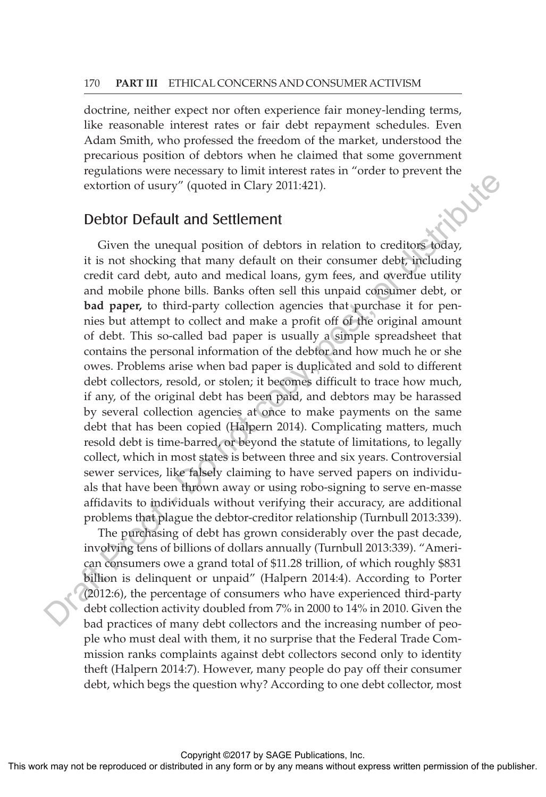doctrine, neither expect nor often experience fair money-lending terms, like reasonable interest rates or fair debt repayment schedules. Even Adam Smith, who professed the freedom of the market, understood the precarious position of debtors when he claimed that some government regulations were necessary to limit interest rates in "order to prevent the extortion of usury" (quoted in Clary 2011:421).<br>Debtor Default and Settle extortion of usury" (quoted in Clary 2011:421).

## Debtor Default and Settlement

Given the unequal position of debtors in relation to creditors today, it is not shocking that many default on their consumer debt, including credit card debt, auto and medical loans, gym fees, and overdue utility and mobile phone bills. Banks often sell this unpaid consumer debt, or **bad paper,** to third-party collection agencies that purchase it for pennies but attempt to collect and make a profit off of the original amount of debt. This so-called bad paper is usually a simple spreadsheet that contains the personal information of the debtor and how much he or she owes. Problems arise when bad paper is duplicated and sold to different debt collectors, resold, or stolen; it becomes difficult to trace how much, if any, of the original debt has been paid, and debtors may be harassed by several collection agencies at once to make payments on the same debt that has been copied (Halpern 2014). Complicating matters, much resold debt is time-barred, or beyond the statute of limitations, to legally collect, which in most states is between three and six years. Controversial sewer services, like falsely claiming to have served papers on individuals that have been thrown away or using robo-signing to serve en-masse affidavits to individuals without verifying their accuracy, are additional problems that plague the debtor-creditor relationship (Turnbull 2013:339). Expansion of the transport means with the control or distributed in Clayy (quoted in Clayy 2011-321).<br>
Debtor Default and Settlement<br>
ties not shocking that many default on their consumer delete distributed in<br>the any mea

The purchasing of debt has grown considerably over the past decade, involving tens of billions of dollars annually (Turnbull 2013:339). "American consumers owe a grand total of \$11.28 trillion, of which roughly \$831 billion is delinquent or unpaid" (Halpern 2014:4). According to Porter (2012:6), the percentage of consumers who have experienced third-party debt collection activity doubled from 7% in 2000 to 14% in 2010. Given the bad practices of many debt collectors and the increasing number of people who must deal with them, it no surprise that the Federal Trade Commission ranks complaints against debt collectors second only to identity theft (Halpern 2014:7). However, many people do pay off their consumer debt, which begs the question why? According to one debt collector, most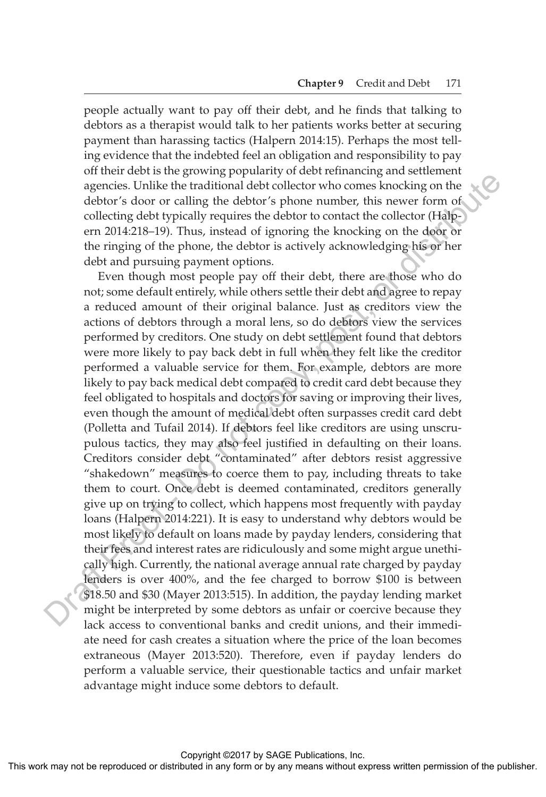people actually want to pay off their debt, and he finds that talking to debtors as a therapist would talk to her patients works better at securing payment than harassing tactics (Halpern 2014:15). Perhaps the most telling evidence that the indebted feel an obligation and responsibility to pay off their debt is the growing popularity of debt refinancing and settlement agencies. Unlike the traditional debt collector who comes knocking on the debtor's door or calling the debtor's phone number, this newer form of collecting debt typically requires the debtor to contact the collector (Halpern 2014:218–19). Thus, instead of ignoring the knocking on the door or the ringing of the phone, the debtor is actively acknowledging his or her debt and pursuing payment options.

Even though most people pay off their debt, there are those who do not; some default entirely, while others settle their debt and agree to repay a reduced amount of their original balance. Just as creditors view the actions of debtors through a moral lens, so do debtors view the services performed by creditors. One study on debt settlement found that debtors were more likely to pay back debt in full when they felt like the creditor performed a valuable service for them. For example, debtors are more likely to pay back medical debt compared to credit card debt because they feel obligated to hospitals and doctors for saving or improving their lives, even though the amount of medical debt often surpasses credit card debt (Polletta and Tufail 2014). If debtors feel like creditors are using unscrupulous tactics, they may also feel justified in defaulting on their loans. Creditors consider debt "contaminated" after debtors resist aggressive "shakedown" measures to coerce them to pay, including threats to take them to court. Once debt is deemed contaminated, creditors generally give up on trying to collect, which happens most frequently with payday loans (Halpern 2014:221). It is easy to understand why debtors would be most likely to default on loans made by payday lenders, considering that their fees and interest rates are ridiculously and some might argue unethically high. Currently, the national average annual rate charged by payday lenders is over 400%, and the fee charged to borrow \$100 is between \$18.50 and \$30 (Mayer 2013:515). In addition, the payday lending market might be interpreted by some debtors as unfair or coercive because they lack access to conventional banks and credit unions, and their immediate need for cash creates a situation where the price of the loan becomes extraneous (Mayer 2013:520). Therefore, even if payday lenders do perform a valuable service, their questionable tactics and unfair market advantage might induce some debtors to default. seconds. Unlike the traditional debt collector who comes knocking on the debter denter or both calculated the debter of the means the sense from the debter of the means from the sense from the sense of the publisher. This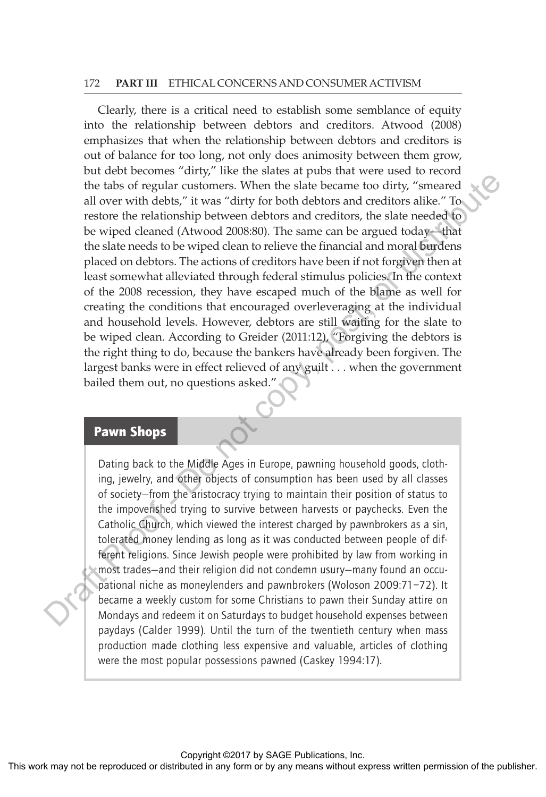#### 172 **PART III** ETHICAL CONCERNS AND CONSUMER ACTIVISM

Clearly, there is a critical need to establish some semblance of equity into the relationship between debtors and creditors. Atwood (2008) emphasizes that when the relationship between debtors and creditors is out of balance for too long, not only does animosity between them grow, but debt becomes "dirty," like the slates at pubs that were used to record the tabs of regular customers. When the slate became too dirty, "smeared all over with debts," it was "dirty for both debtors and creditors alike." To restore the relationship between debtors and creditors, the slate needed to be wiped cleaned (Atwood 2008:80). The same can be argued today—that the slate needs to be wiped clean to relieve the financial and moral burdens placed on debtors. The actions of creditors have been if not forgiven then at least somewhat alleviated through federal stimulus policies. In the context of the 2008 recession, they have escaped much of the blame as well for creating the conditions that encouraged overleveraging at the individual and household levels. However, debtors are still waiting for the slate to be wiped clean. According to Greider (2011:12), "Forgiving the debtors is the right thing to do, because the bankers have already been forgiven. The largest banks were in effect relieved of any guilt . . . when the government bailed them out, no questions asked." The this is of cogular customes When the also become to ordiny "smounted are more than the state in any form or by the publisher or distributed in a more than the publisher. This was not complete the publisher and continu

## Pawn Shops

Dating back to the Middle Ages in Europe, pawning household goods, clothing, jewelry, and other objects of consumption has been used by all classes of society—from the aristocracy trying to maintain their position of status to the impoverished trying to survive between harvests or paychecks. Even the Catholic Church, which viewed the interest charged by pawnbrokers as a sin, tolerated money lending as long as it was conducted between people of different religions. Since Jewish people were prohibited by law from working in most trades—and their religion did not condemn usury—many found an occupational niche as moneylenders and pawnbrokers (Woloson 2009:71–72). It became a weekly custom for some Christians to pawn their Sunday attire on Mondays and redeem it on Saturdays to budget household expenses between paydays (Calder 1999). Until the turn of the twentieth century when mass production made clothing less expensive and valuable, articles of clothing were the most popular possessions pawned (Caskey 1994:17).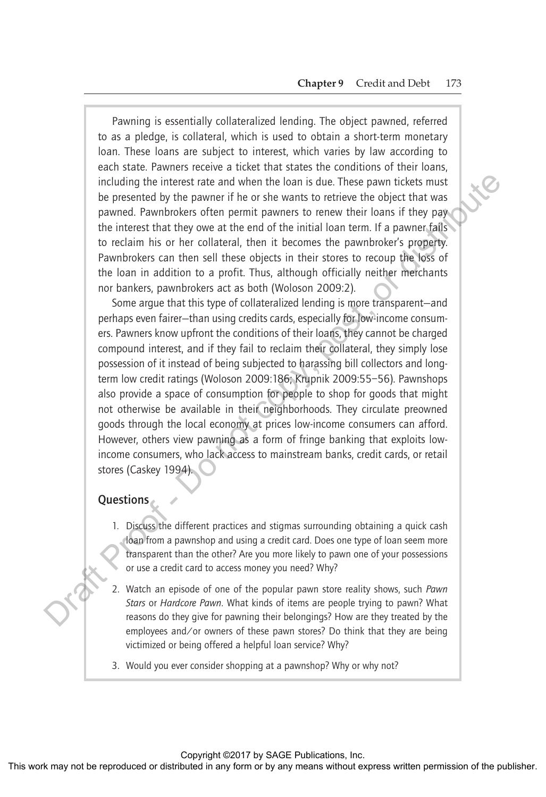Pawning is essentially collateralized lending. The object pawned, referred to as a pledge, is collateral, which is used to obtain a short-term monetary loan. These loans are subject to interest, which varies by law according to each state. Pawners receive a ticket that states the conditions of their loans, including the interest rate and when the loan is due. These pawn tickets must be presented by the pawner if he or she wants to retrieve the object that was pawned. Pawnbrokers often permit pawners to renew their loans if they pay the interest that they owe at the end of the initial loan term. If a pawner fails to reclaim his or her collateral, then it becomes the pawnbroker's property. Pawnbrokers can then sell these objects in their stores to recoup the loss of the loan in addition to a profit. Thus, although officially neither merchants nor bankers, pawnbrokers act as both (Woloson 2009:2).

Some argue that this type of collateralized lending is more transparent—and perhaps even fairer—than using credits cards, especially for low-income consumers. Pawners know upfront the conditions of their loans, they cannot be charged compound interest, and if they fail to reclaim their collateral, they simply lose possession of it instead of being subjected to harassing bill collectors and longterm low credit ratings (Woloson 2009:186; Krupnik 2009:55–56). Pawnshops also provide a space of consumption for people to shop for goods that might not otherwise be available in their neighborhoods. They circulate preowned goods through the local economy at prices low-income consumers can afford. However, others view pawning as a form of fringe banking that exploits lowincome consumers, who lack access to mainstream banks, credit cards, or retail stores (Caskey 1994). including the interest and when the barm is due. These payer is clear that we payer the represented the represented in any means the represented in any means the represented in any means the represented in any means when

### Questions

- 1. Discuss the different practices and stigmas surrounding obtaining a quick cash loan from a pawnshop and using a credit card. Does one type of loan seem more transparent than the other? Are you more likely to pawn one of your possessions or use a credit card to access money you need? Why?
- 2. Watch an episode of one of the popular pawn store reality shows, such *Pawn Stars* or *Hardcore Pawn*. What kinds of items are people trying to pawn? What reasons do they give for pawning their belongings? How are they treated by the employees and/or owners of these pawn stores? Do think that they are being victimized or being offered a helpful loan service? Why?
- 3. Would you ever consider shopping at a pawnshop? Why or why not?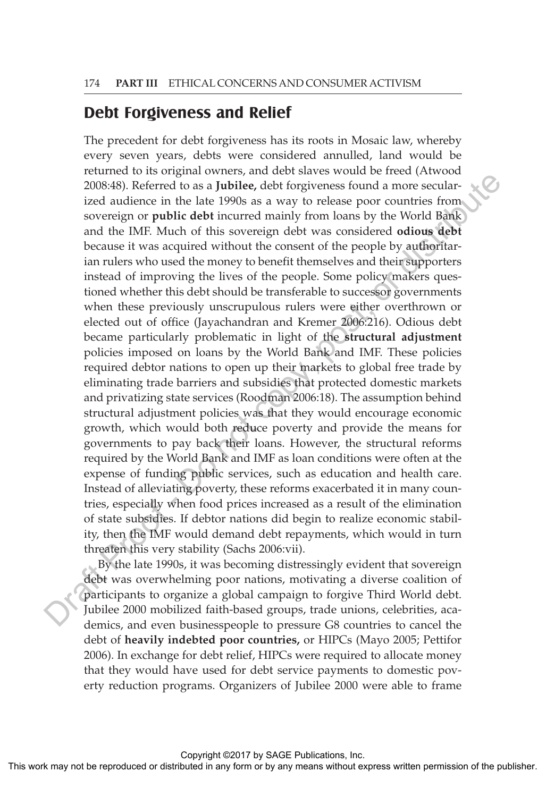## **Debt Forgiveness and Relief**

The precedent for debt forgiveness has its roots in Mosaic law, whereby every seven years, debts were considered annulled, land would be returned to its original owners, and debt slaves would be freed (Atwood 2008:48). Referred to as a **Jubilee,** debt forgiveness found a more secularized audience in the late 1990s as a way to release poor countries from sovereign or **public debt** incurred mainly from loans by the World Bank and the IMF. Much of this sovereign debt was considered **odious debt**  because it was acquired without the consent of the people by authoritarian rulers who used the money to benefit themselves and their supporters instead of improving the lives of the people. Some policy makers questioned whether this debt should be transferable to successor governments when these previously unscrupulous rulers were either overthrown or elected out of office (Jayachandran and Kremer 2006:216). Odious debt became particularly problematic in light of the **structural adjustment** policies imposed on loans by the World Bank and IMF. These policies required debtor nations to open up their markets to global free trade by eliminating trade barriers and subsidies that protected domestic markets and privatizing state services (Roodman 2006:18). The assumption behind structural adjustment policies was that they would encourage economic growth, which would both reduce poverty and provide the means for governments to pay back their loans. However, the structural reforms required by the World Bank and IMF as loan conditions were often at the expense of funding public services, such as education and health care. Instead of alleviating poverty, these reforms exacerbated it in many countries, especially when food prices increased as a result of the elimination of state subsidies. If debtor nations did begin to realize economic stability, then the IMF would demand debt repayments, which would in turn threaten this very stability (Sachs 2006:vii). 2008-18). Releven to the reproduced or a state of the reproduced or any form or stated and<br>the reproduced or distributed in a state were stated in a weaken the representation and the publisher of the publisher and the DML

By the late 1990s, it was becoming distressingly evident that sovereign debt was overwhelming poor nations, motivating a diverse coalition of participants to organize a global campaign to forgive Third World debt. Jubilee 2000 mobilized faith-based groups, trade unions, celebrities, academics, and even businesspeople to pressure G8 countries to cancel the debt of **heavily indebted poor countries,** or HIPCs (Mayo 2005; Pettifor 2006). In exchange for debt relief, HIPCs were required to allocate money that they would have used for debt service payments to domestic poverty reduction programs. Organizers of Jubilee 2000 were able to frame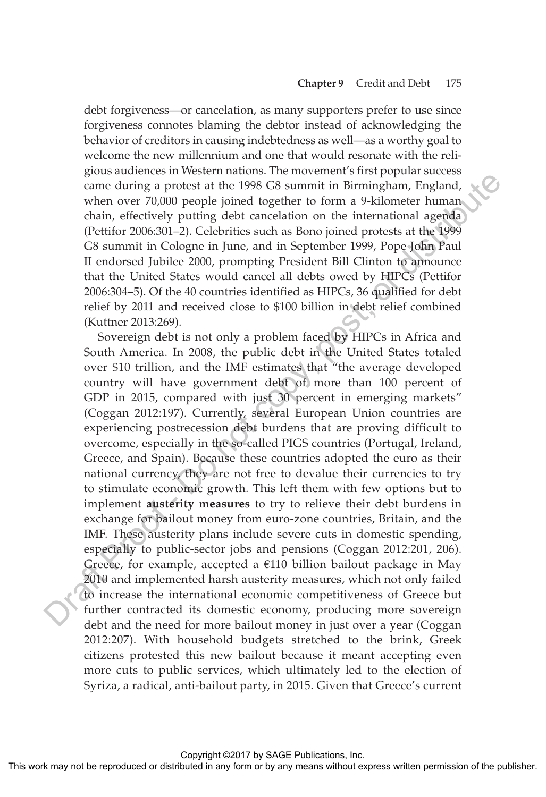debt forgiveness—or cancelation, as many supporters prefer to use since forgiveness connotes blaming the debtor instead of acknowledging the behavior of creditors in causing indebtedness as well—as a worthy goal to welcome the new millennium and one that would resonate with the religious audiences in Western nations. The movement's first popular success came during a protest at the 1998 G8 summit in Birmingham, England, when over 70,000 people joined together to form a 9-kilometer human chain, effectively putting debt cancelation on the international agenda (Pettifor 2006:301–2). Celebrities such as Bono joined protests at the 1999 G8 summit in Cologne in June, and in September 1999, Pope John Paul II endorsed Jubilee 2000, prompting President Bill Clinton to announce that the United States would cancel all debts owed by HIPCs (Pettifor 2006:304–5). Of the 40 countries identified as HIPCs, 36 qualified for debt relief by 2011 and received close to \$100 billion in debt relief combined (Kuttner 2013:269).

Sovereign debt is not only a problem faced by HIPCs in Africa and South America. In 2008, the public debt in the United States totaled over \$10 trillion, and the IMF estimates that "the average developed country will have government debt of more than 100 percent of GDP in 2015, compared with just 30 percent in emerging markets" (Coggan 2012:197). Currently, several European Union countries are experiencing postrecession debt burdens that are proving difficult to overcome, especially in the so-called PIGS countries (Portugal, Ireland, Greece, and Spain). Because these countries adopted the euro as their national currency, they are not free to devalue their currencies to try to stimulate economic growth. This left them with few options but to implement **austerity measures** to try to relieve their debt burdens in exchange for bailout money from euro-zone countries, Britain, and the IMF. These austerity plans include severe cuts in domestic spending, especially to public-sector jobs and pensions (Coggan 2012:201, 206). Greece, for example, accepted a €110 billion bailout package in May 2010 and implemented harsh austerity measures, which not only failed to increase the international economic competitiveness of Greece but further contracted its domestic economy, producing more sovereign debt and the need for more bailout money in just over a year (Coggan 2012:207). With household budgets stretched to the brink, Greek citizens protested this new bailout because it meant accepting even more cuts to public services, which ultimately led to the election of Syriza, a radical, anti-bailout party, in 2015. Given that Greece's current some during a probability may be reproduced or distributed by the reproduced or distributed by any means when the summation of the reproduced or the publisher of the publisher of the publisher of the publisher of the publ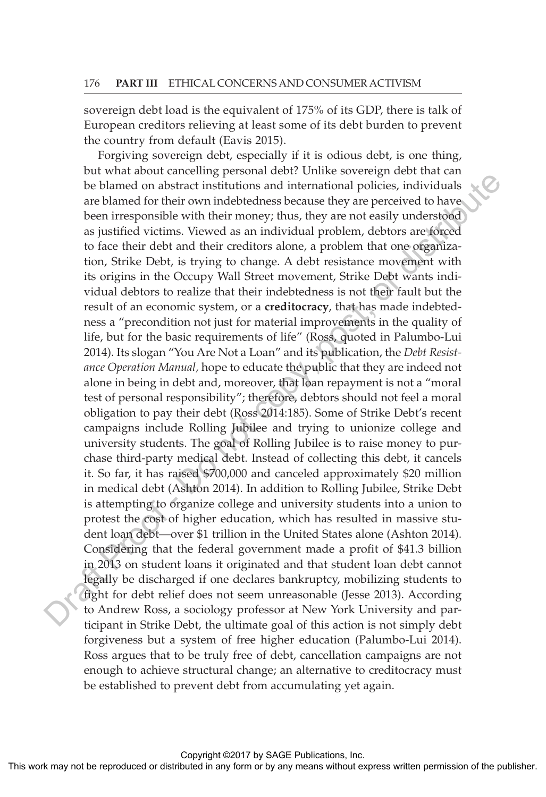sovereign debt load is the equivalent of 175% of its GDP, there is talk of European creditors relieving at least some of its debt burden to prevent the country from default (Eavis 2015).

Forgiving sovereign debt, especially if it is odious debt, is one thing, but what about cancelling personal debt? Unlike sovereign debt that can be blamed on abstract institutions and international policies, individuals are blamed for their own indebtedness because they are perceived to have been irresponsible with their money; thus, they are not easily understood as justified victims. Viewed as an individual problem, debtors are forced to face their debt and their creditors alone, a problem that one organization, Strike Debt, is trying to change. A debt resistance movement with its origins in the Occupy Wall Street movement, Strike Debt wants individual debtors to realize that their indebtedness is not their fault but the result of an economic system, or a **creditocracy**, that has made indebtedness a "precondition not just for material improvements in the quality of life, but for the basic requirements of life" (Ross, quoted in Palumbo-Lui 2014). Its slogan "You Are Not a Loan" and its publication, the *Debt Resistance Operation Manual,* hope to educate the public that they are indeed not alone in being in debt and, moreover, that loan repayment is not a "moral test of personal responsibility"; therefore, debtors should not feel a moral obligation to pay their debt (Ross 2014:185). Some of Strike Debt's recent campaigns include Rolling Jubilee and trying to unionize college and university students. The goal of Rolling Jubilee is to raise money to purchase third-party medical debt. Instead of collecting this debt, it cancels it. So far, it has raised \$700,000 and canceled approximately \$20 million in medical debt (Ashton 2014). In addition to Rolling Jubilee, Strike Debt is attempting to organize college and university students into a union to protest the cost of higher education, which has resulted in massive student loan debt—over \$1 trillion in the United States alone (Ashton 2014). Considering that the federal government made a profit of \$41.3 billion in 2013 on student loans it originated and that student loan debt cannot legally be discharged if one declares bankruptcy, mobilizing students to fight for debt relief does not seem unreasonable (Jesse 2013). According to Andrew Ross, a sociology professor at New York University and participant in Strike Debt, the ultimate goal of this action is not simply debt forgiveness but a system of free higher education (Palumbo-Lui 2014). Ross argues that to be truly free of debt, cancellation campaigns are not enough to achieve structural change; an alternative to creditocracy must be established to prevent debt from accumulating yet again. be blamed on abstract may indicate and international policies; individuals<br>
are blamed or their correlated means with any any means we have the published or the published or the published or distributed in any form or the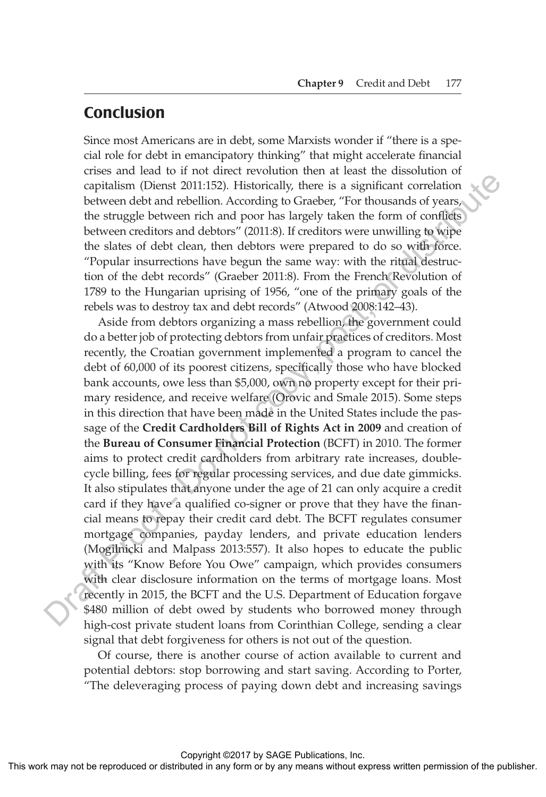## **Conclusion**

Since most Americans are in debt, some Marxists wonder if "there is a special role for debt in emancipatory thinking" that might accelerate financial crises and lead to if not direct revolution then at least the dissolution of capitalism (Dienst 2011:152). Historically, there is a significant correlation between debt and rebellion. According to Graeber, "For thousands of years, the struggle between rich and poor has largely taken the form of conflicts between creditors and debtors" (2011:8). If creditors were unwilling to wipe the slates of debt clean, then debtors were prepared to do so with force. "Popular insurrections have begun the same way: with the ritual destruction of the debt records" (Graeber 2011:8). From the French Revolution of 1789 to the Hungarian uprising of 1956, "one of the primary goals of the rebels was to destroy tax and debt records" (Atwood 2008:142–43).

Aside from debtors organizing a mass rebellion, the government could do a better job of protecting debtors from unfair practices of creditors. Most recently, the Croatian government implemented a program to cancel the debt of 60,000 of its poorest citizens, specifically those who have blocked bank accounts, owe less than \$5,000, own no property except for their primary residence, and receive welfare (Orovic and Smale 2015). Some steps in this direction that have been made in the United States include the passage of the **Credit Cardholders Bill of Rights Act in 2009** and creation of the **Bureau of Consumer Financial Protection** (BCFT) in 2010. The former aims to protect credit cardholders from arbitrary rate increases, doublecycle billing, fees for regular processing services, and due date gimmicks. It also stipulates that anyone under the age of 21 can only acquire a credit card if they have a qualified co-signer or prove that they have the financial means to repay their credit card debt. The BCFT regulates consumer mortgage companies, payday lenders, and private education lenders (Mogilnicki and Malpass 2013:557). It also hopes to educate the public with its "Know Before You Owe" campaign, which provides consumers with clear disclosure information on the terms of mortgage loans. Most recently in 2015, the BCFT and the U.S. Department of Education forgave \$480 million of debt owed by students who borrowed money through high-cost private student loans from Corinthian College, sending a clear signal that debt forgiveness for others is not out of the question. Copyright) (Some statistics) (there is a significant correlation and the relation of the relation of the relation of the relation of the publisher of the function or by a first the publisher of the publisher of the publish

Of course, there is another course of action available to current and potential debtors: stop borrowing and start saving. According to Porter, "The deleveraging process of paying down debt and increasing savings